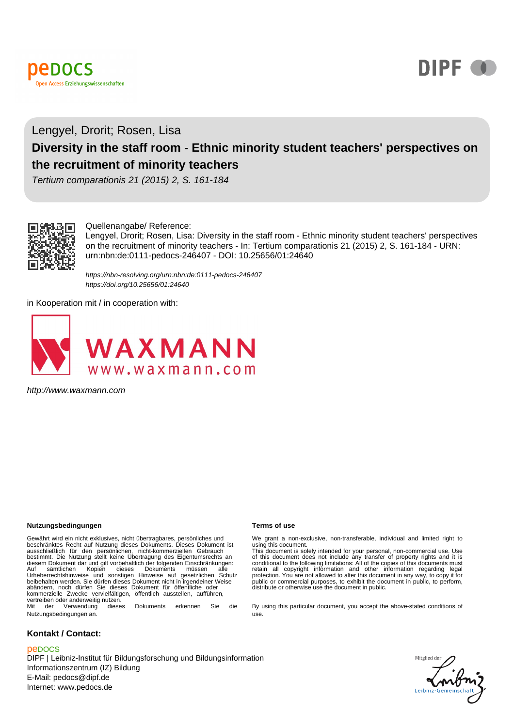



# Lengyel, Drorit; Rosen, Lisa **Diversity in the staff room - Ethnic minority student teachers' perspectives on the recruitment of minority teachers**

Tertium comparationis 21 (2015) 2, S. 161-184



#### Quellenangabe/ Reference:

Lengyel, Drorit; Rosen, Lisa: Diversity in the staff room - Ethnic minority student teachers' perspectives on the recruitment of minority teachers - In: Tertium comparationis 21 (2015) 2, S. 161-184 - URN: urn:nbn:de:0111-pedocs-246407 - DOI: 10.25656/01:24640

https://nbn-resolving.org/urn:nbn:de:0111-pedocs-246407 https://doi.org/10.25656/01:24640

in Kooperation mit / in cooperation with:



http://www.waxmann.com

#### **Nutzungsbedingungen Terms of use**

Gewährt wird ein nicht exklusives, nicht übertragbares, persönliches und beschränktes Recht auf Nutzung dieses Dokuments. Dieses Dokument ist ausschließlich für den persönlichen, nicht-kommerziellen Gebrauch bestimmt. Die Nutzung stellt keine Übertragung des Eigentumsrechts an diesem Dokument dar und gilt vorbehaltlich der folgenden Einschränkungen:<br>Auf sämtlichen Kopien dieses Dokuments müssen alle<br>Urheberrechtshinweise und sonstigen Hinweise auf gesetzlichen Sc beibehalten werden. Sie dürfen dieses Dokument nicht in irgendeiner Weise abändern, noch dürfen Sie dieses Dokument für öffentliche oder kommerzielle Zwecke vervielfältigen, öffentlich ausstellen, aufführen, vertreiben oder anderweitig nutzen. Mit der Verwendung dieses Dokuments erkennen Sie die

Nutzungsbedingungen an.

### **Kontakt / Contact:**

#### peDOCS

DIPF | Leibniz-Institut für Bildungsforschung und Bildungsinformation Informationszentrum (IZ) Bildung E-Mail: pedocs@dipf.de Internet: www.pedocs.de

We grant a non-exclusive, non-transferable, individual and limited right to using this document. This document is solely intended for your personal, non-commercial use. Use

of this document does not include any transfer of property rights and it is<br>conditional to the following limitations: All of the copies of this documents must<br>retain all copyright information and other information regardin protection. You are not allowed to alter this document in any way, to copy it for public or commercial purposes, to exhibit the document in public, to perform, distribute or otherwise use the document in public.

By using this particular document, you accept the above-stated conditions of use.

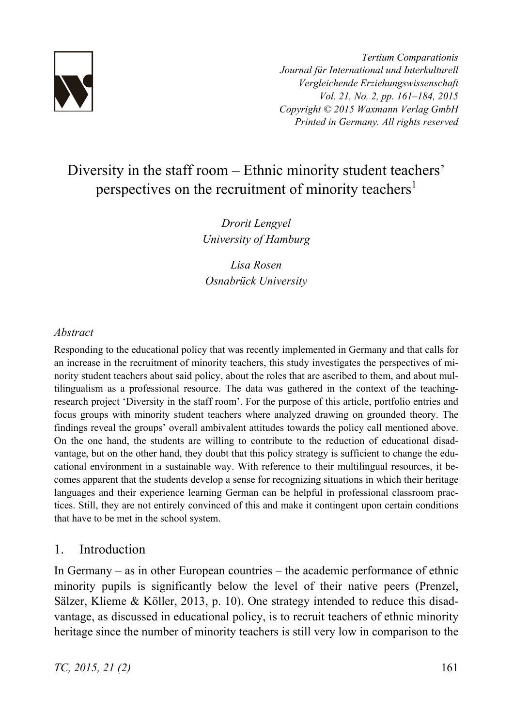

*Tertium Comparationis Journal für International und Interkulturell Vergleichende Erziehungswissenschaft Vol. 21, No. 2, pp. 161–184, 2015 Copyright © 2015 Waxmann Verlag GmbH Printed in Germany. All rights reserved*

# Diversity in the staff room – Ethnic minority student teachers' perspectives on the recruitment of minority teachers<sup>1</sup>

*Drorit Lengyel University of Hamburg* 

*Lisa Rosen Osnabrück University* 

# *Abstract*

Responding to the educational policy that was recently implemented in Germany and that calls for an increase in the recruitment of minority teachers, this study investigates the perspectives of minority student teachers about said policy, about the roles that are ascribed to them, and about multilingualism as a professional resource. The data was gathered in the context of the teachingresearch project 'Diversity in the staff room'. For the purpose of this article, portfolio entries and focus groups with minority student teachers where analyzed drawing on grounded theory. The findings reveal the groups' overall ambivalent attitudes towards the policy call mentioned above. On the one hand, the students are willing to contribute to the reduction of educational disadvantage, but on the other hand, they doubt that this policy strategy is sufficient to change the educational environment in a sustainable way. With reference to their multilingual resources, it becomes apparent that the students develop a sense for recognizing situations in which their heritage languages and their experience learning German can be helpful in professional classroom practices. Still, they are not entirely convinced of this and make it contingent upon certain conditions that have to be met in the school system.

# 1. Introduction

In Germany – as in other European countries – the academic performance of ethnic minority pupils is significantly below the level of their native peers (Prenzel, Sälzer, Klieme & Köller, 2013, p. 10). One strategy intended to reduce this disadvantage, as discussed in educational policy, is to recruit teachers of ethnic minority heritage since the number of minority teachers is still very low in comparison to the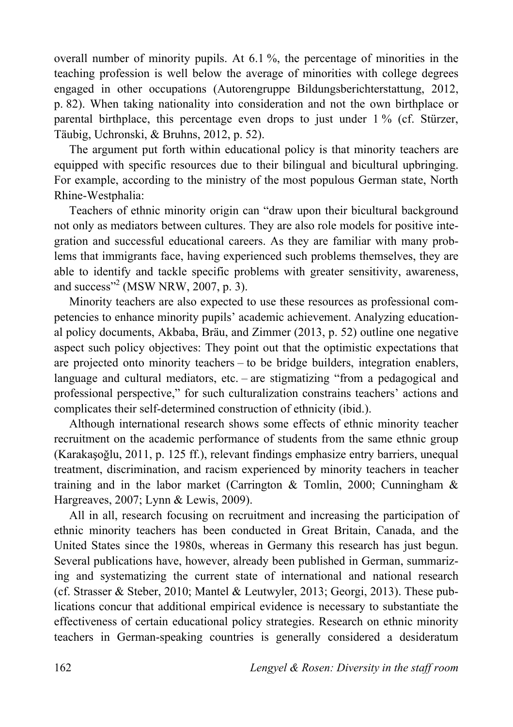overall number of minority pupils. At 6.1 %, the percentage of minorities in the teaching profession is well below the average of minorities with college degrees engaged in other occupations (Autorengruppe Bildungsberichterstattung, 2012, p. 82). When taking nationality into consideration and not the own birthplace or parental birthplace, this percentage even drops to just under 1 % (cf. Stürzer, Täubig, Uchronski, & Bruhns, 2012, p. 52).

The argument put forth within educational policy is that minority teachers are equipped with specific resources due to their bilingual and bicultural upbringing. For example, according to the ministry of the most populous German state, North Rhine-Westphalia:

Teachers of ethnic minority origin can "draw upon their bicultural background not only as mediators between cultures. They are also role models for positive integration and successful educational careers. As they are familiar with many problems that immigrants face, having experienced such problems themselves, they are able to identify and tackle specific problems with greater sensitivity, awareness, and success"<sup>2</sup> (MSW NRW, 2007, p. 3).

Minority teachers are also expected to use these resources as professional competencies to enhance minority pupils' academic achievement. Analyzing educational policy documents, Akbaba, Bräu, and Zimmer (2013, p. 52) outline one negative aspect such policy objectives: They point out that the optimistic expectations that are projected onto minority teachers – to be bridge builders, integration enablers, language and cultural mediators, etc. – are stigmatizing "from a pedagogical and professional perspective," for such culturalization constrains teachers' actions and complicates their self-determined construction of ethnicity (ibid.).

Although international research shows some effects of ethnic minority teacher recruitment on the academic performance of students from the same ethnic group (Karakasõglu, 2011, p. 125 ff.), relevant findings emphasize entry barriers, unequal treatment, discrimination, and racism experienced by minority teachers in teacher training and in the labor market (Carrington & Tomlin, 2000; Cunningham & Hargreaves, 2007; Lynn & Lewis, 2009).

All in all, research focusing on recruitment and increasing the participation of ethnic minority teachers has been conducted in Great Britain, Canada, and the United States since the 1980s, whereas in Germany this research has just begun. Several publications have, however, already been published in German, summarizing and systematizing the current state of international and national research (cf. Strasser & Steber, 2010; Mantel & Leutwyler, 2013; Georgi, 2013). These publications concur that additional empirical evidence is necessary to substantiate the effectiveness of certain educational policy strategies. Research on ethnic minority teachers in German-speaking countries is generally considered a desideratum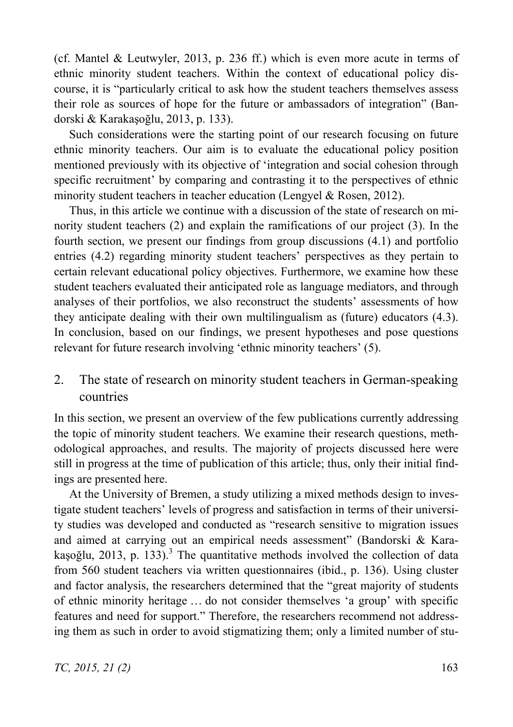(cf. Mantel & Leutwyler, 2013, p. 236 ff.) which is even more acute in terms of ethnic minority student teachers. Within the context of educational policy discourse, it is "particularly critical to ask how the student teachers themselves assess their role as sources of hope for the future or ambassadors of integration" (Bandorski & Karakasoğlu, 2013, p. 133).

Such considerations were the starting point of our research focusing on future ethnic minority teachers. Our aim is to evaluate the educational policy position mentioned previously with its objective of 'integration and social cohesion through specific recruitment' by comparing and contrasting it to the perspectives of ethnic minority student teachers in teacher education (Lengyel & Rosen, 2012).

Thus, in this article we continue with a discussion of the state of research on minority student teachers (2) and explain the ramifications of our project (3). In the fourth section, we present our findings from group discussions (4.1) and portfolio entries (4.2) regarding minority student teachers' perspectives as they pertain to certain relevant educational policy objectives. Furthermore, we examine how these student teachers evaluated their anticipated role as language mediators, and through analyses of their portfolios, we also reconstruct the students' assessments of how they anticipate dealing with their own multilingualism as (future) educators (4.3). In conclusion, based on our findings, we present hypotheses and pose questions relevant for future research involving 'ethnic minority teachers' (5).

# 2. The state of research on minority student teachers in German-speaking countries

In this section, we present an overview of the few publications currently addressing the topic of minority student teachers. We examine their research questions, methodological approaches, and results. The majority of projects discussed here were still in progress at the time of publication of this article; thus, only their initial findings are presented here.

At the University of Bremen, a study utilizing a mixed methods design to investigate student teachers' levels of progress and satisfaction in terms of their university studies was developed and conducted as "research sensitive to migration issues and aimed at carrying out an empirical needs assessment" (Bandorski & Karakașoğlu, 2013, p. 133).<sup>3</sup> The quantitative methods involved the collection of data from 560 student teachers via written questionnaires (ibid., p. 136). Using cluster and factor analysis, the researchers determined that the "great majority of students of ethnic minority heritage … do not consider themselves 'a group' with specific features and need for support." Therefore, the researchers recommend not addressing them as such in order to avoid stigmatizing them; only a limited number of stu-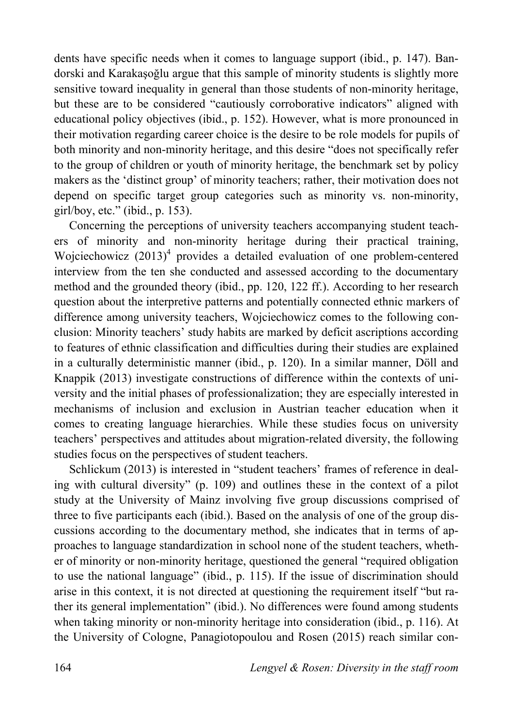dents have specific needs when it comes to language support (ibid., p. 147). Bandorski and Karakaşoğlu argue that this sample of minority students is slightly more sensitive toward inequality in general than those students of non-minority heritage, but these are to be considered "cautiously corroborative indicators" aligned with educational policy objectives (ibid., p. 152). However, what is more pronounced in their motivation regarding career choice is the desire to be role models for pupils of both minority and non-minority heritage, and this desire "does not specifically refer to the group of children or youth of minority heritage, the benchmark set by policy makers as the 'distinct group' of minority teachers; rather, their motivation does not depend on specific target group categories such as minority vs. non-minority, girl/boy, etc." (ibid., p. 153).

Concerning the perceptions of university teachers accompanying student teachers of minority and non-minority heritage during their practical training, Wojciechowicz  $(2013)^4$  provides a detailed evaluation of one problem-centered interview from the ten she conducted and assessed according to the documentary method and the grounded theory (ibid., pp. 120, 122 ff.). According to her research question about the interpretive patterns and potentially connected ethnic markers of difference among university teachers, Wojciechowicz comes to the following conclusion: Minority teachers' study habits are marked by deficit ascriptions according to features of ethnic classification and difficulties during their studies are explained in a culturally deterministic manner (ibid., p. 120). In a similar manner, Döll and Knappik (2013) investigate constructions of difference within the contexts of university and the initial phases of professionalization; they are especially interested in mechanisms of inclusion and exclusion in Austrian teacher education when it comes to creating language hierarchies. While these studies focus on university teachers' perspectives and attitudes about migration-related diversity, the following studies focus on the perspectives of student teachers.

Schlickum (2013) is interested in "student teachers' frames of reference in dealing with cultural diversity" (p. 109) and outlines these in the context of a pilot study at the University of Mainz involving five group discussions comprised of three to five participants each (ibid.). Based on the analysis of one of the group discussions according to the documentary method, she indicates that in terms of approaches to language standardization in school none of the student teachers, whether of minority or non-minority heritage, questioned the general "required obligation to use the national language" (ibid., p. 115). If the issue of discrimination should arise in this context, it is not directed at questioning the requirement itself "but rather its general implementation" (ibid.). No differences were found among students when taking minority or non-minority heritage into consideration (ibid., p. 116). At the University of Cologne, Panagiotopoulou and Rosen (2015) reach similar con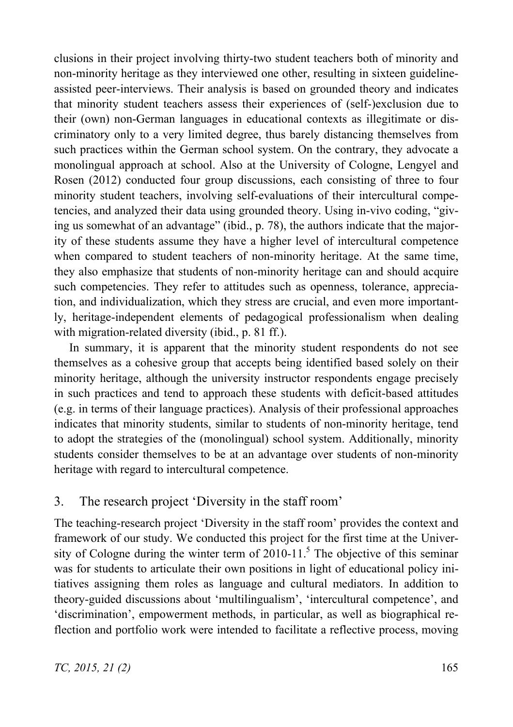clusions in their project involving thirty-two student teachers both of minority and non-minority heritage as they interviewed one other, resulting in sixteen guidelineassisted peer-interviews. Their analysis is based on grounded theory and indicates that minority student teachers assess their experiences of (self-)exclusion due to their (own) non-German languages in educational contexts as illegitimate or discriminatory only to a very limited degree, thus barely distancing themselves from such practices within the German school system. On the contrary, they advocate a monolingual approach at school. Also at the University of Cologne, Lengyel and Rosen (2012) conducted four group discussions, each consisting of three to four minority student teachers, involving self-evaluations of their intercultural competencies, and analyzed their data using grounded theory. Using in-vivo coding, "giving us somewhat of an advantage" (ibid., p. 78), the authors indicate that the majority of these students assume they have a higher level of intercultural competence when compared to student teachers of non-minority heritage. At the same time, they also emphasize that students of non-minority heritage can and should acquire such competencies. They refer to attitudes such as openness, tolerance, appreciation, and individualization, which they stress are crucial, and even more importantly, heritage-independent elements of pedagogical professionalism when dealing with migration-related diversity (ibid., p. 81 ff.).

In summary, it is apparent that the minority student respondents do not see themselves as a cohesive group that accepts being identified based solely on their minority heritage, although the university instructor respondents engage precisely in such practices and tend to approach these students with deficit-based attitudes (e.g. in terms of their language practices). Analysis of their professional approaches indicates that minority students, similar to students of non-minority heritage, tend to adopt the strategies of the (monolingual) school system. Additionally, minority students consider themselves to be at an advantage over students of non-minority heritage with regard to intercultural competence.

# 3. The research project 'Diversity in the staff room'

The teaching-research project 'Diversity in the staff room' provides the context and framework of our study. We conducted this project for the first time at the University of Cologne during the winter term of  $2010-11$ .<sup>5</sup> The objective of this seminar was for students to articulate their own positions in light of educational policy initiatives assigning them roles as language and cultural mediators. In addition to theory-guided discussions about 'multilingualism', 'intercultural competence', and 'discrimination', empowerment methods, in particular, as well as biographical reflection and portfolio work were intended to facilitate a reflective process, moving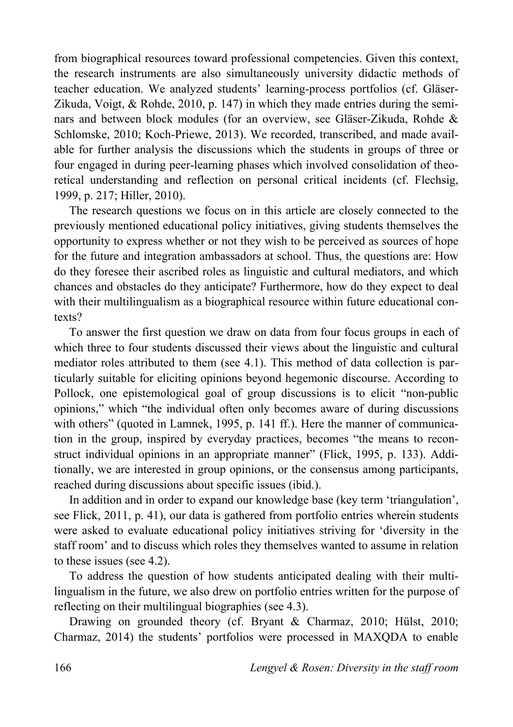from biographical resources toward professional competencies. Given this context, the research instruments are also simultaneously university didactic methods of teacher education. We analyzed students' learning-process portfolios (cf. Gläser-Zikuda, Voigt, & Rohde, 2010, p. 147) in which they made entries during the seminars and between block modules (for an overview, see Gläser-Zikuda, Rohde & Schlomske, 2010; Koch-Priewe, 2013). We recorded, transcribed, and made available for further analysis the discussions which the students in groups of three or four engaged in during peer-learning phases which involved consolidation of theoretical understanding and reflection on personal critical incidents (cf. Flechsig, 1999, p. 217; Hiller, 2010).

The research questions we focus on in this article are closely connected to the previously mentioned educational policy initiatives, giving students themselves the opportunity to express whether or not they wish to be perceived as sources of hope for the future and integration ambassadors at school. Thus, the questions are: How do they foresee their ascribed roles as linguistic and cultural mediators, and which chances and obstacles do they anticipate? Furthermore, how do they expect to deal with their multilingualism as a biographical resource within future educational contexts?

To answer the first question we draw on data from four focus groups in each of which three to four students discussed their views about the linguistic and cultural mediator roles attributed to them (see 4.1). This method of data collection is particularly suitable for eliciting opinions beyond hegemonic discourse. According to Pollock, one epistemological goal of group discussions is to elicit "non-public opinions," which "the individual often only becomes aware of during discussions with others" (quoted in Lamnek, 1995, p. 141 ff.). Here the manner of communication in the group, inspired by everyday practices, becomes "the means to reconstruct individual opinions in an appropriate manner" (Flick, 1995, p. 133). Additionally, we are interested in group opinions, or the consensus among participants, reached during discussions about specific issues (ibid.).

In addition and in order to expand our knowledge base (key term 'triangulation', see Flick, 2011, p. 41), our data is gathered from portfolio entries wherein students were asked to evaluate educational policy initiatives striving for 'diversity in the staff room' and to discuss which roles they themselves wanted to assume in relation to these issues (see 4.2).

To address the question of how students anticipated dealing with their multilingualism in the future, we also drew on portfolio entries written for the purpose of reflecting on their multilingual biographies (see 4.3).

Drawing on grounded theory (cf. Bryant & Charmaz, 2010; Hülst, 2010; Charmaz, 2014) the students' portfolios were processed in MAXQDA to enable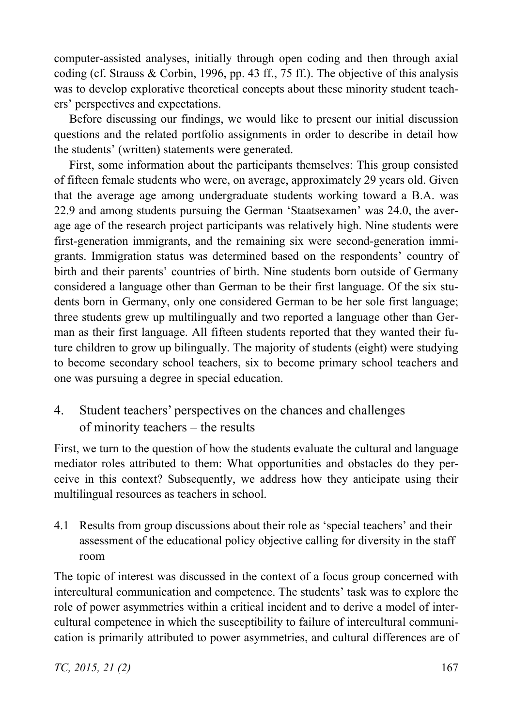computer-assisted analyses, initially through open coding and then through axial coding (cf. Strauss & Corbin, 1996, pp. 43 ff., 75 ff.). The objective of this analysis was to develop explorative theoretical concepts about these minority student teachers' perspectives and expectations.

Before discussing our findings, we would like to present our initial discussion questions and the related portfolio assignments in order to describe in detail how the students' (written) statements were generated.

First, some information about the participants themselves: This group consisted of fifteen female students who were, on average, approximately 29 years old. Given that the average age among undergraduate students working toward a B.A. was 22.9 and among students pursuing the German 'Staatsexamen' was 24.0, the average age of the research project participants was relatively high. Nine students were first-generation immigrants, and the remaining six were second-generation immigrants. Immigration status was determined based on the respondents' country of birth and their parents' countries of birth. Nine students born outside of Germany considered a language other than German to be their first language. Of the six students born in Germany, only one considered German to be her sole first language; three students grew up multilingually and two reported a language other than German as their first language. All fifteen students reported that they wanted their future children to grow up bilingually. The majority of students (eight) were studying to become secondary school teachers, six to become primary school teachers and one was pursuing a degree in special education.

4. Student teachers' perspectives on the chances and challenges of minority teachers – the results

First, we turn to the question of how the students evaluate the cultural and language mediator roles attributed to them: What opportunities and obstacles do they perceive in this context? Subsequently, we address how they anticipate using their multilingual resources as teachers in school.

4.1 Results from group discussions about their role as 'special teachers' and their assessment of the educational policy objective calling for diversity in the staff room

The topic of interest was discussed in the context of a focus group concerned with intercultural communication and competence. The students' task was to explore the role of power asymmetries within a critical incident and to derive a model of intercultural competence in which the susceptibility to failure of intercultural communication is primarily attributed to power asymmetries, and cultural differences are of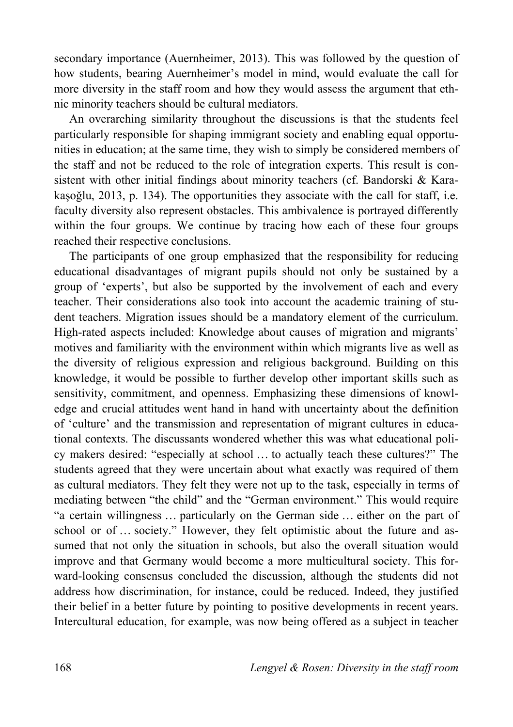secondary importance (Auernheimer, 2013). This was followed by the question of how students, bearing Auernheimer's model in mind, would evaluate the call for more diversity in the staff room and how they would assess the argument that ethnic minority teachers should be cultural mediators.

An overarching similarity throughout the discussions is that the students feel particularly responsible for shaping immigrant society and enabling equal opportunities in education; at the same time, they wish to simply be considered members of the staff and not be reduced to the role of integration experts. This result is consistent with other initial findings about minority teachers (cf. Bandorski & Karakasoğlu,  $2013$ , p. 134). The opportunities they associate with the call for staff, i.e. faculty diversity also represent obstacles. This ambivalence is portrayed differently within the four groups. We continue by tracing how each of these four groups reached their respective conclusions.

The participants of one group emphasized that the responsibility for reducing educational disadvantages of migrant pupils should not only be sustained by a group of 'experts', but also be supported by the involvement of each and every teacher. Their considerations also took into account the academic training of student teachers. Migration issues should be a mandatory element of the curriculum. High-rated aspects included: Knowledge about causes of migration and migrants' motives and familiarity with the environment within which migrants live as well as the diversity of religious expression and religious background. Building on this knowledge, it would be possible to further develop other important skills such as sensitivity, commitment, and openness. Emphasizing these dimensions of knowledge and crucial attitudes went hand in hand with uncertainty about the definition of 'culture' and the transmission and representation of migrant cultures in educational contexts. The discussants wondered whether this was what educational policy makers desired: "especially at school … to actually teach these cultures?" The students agreed that they were uncertain about what exactly was required of them as cultural mediators. They felt they were not up to the task, especially in terms of mediating between "the child" and the "German environment." This would require "a certain willingness … particularly on the German side … either on the part of school or of … society." However, they felt optimistic about the future and assumed that not only the situation in schools, but also the overall situation would improve and that Germany would become a more multicultural society. This forward-looking consensus concluded the discussion, although the students did not address how discrimination, for instance, could be reduced. Indeed, they justified their belief in a better future by pointing to positive developments in recent years. Intercultural education, for example, was now being offered as a subject in teacher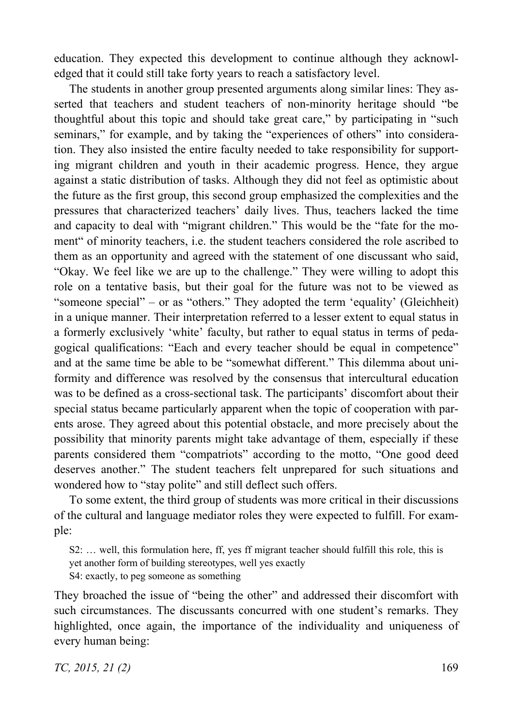education. They expected this development to continue although they acknowledged that it could still take forty years to reach a satisfactory level.

The students in another group presented arguments along similar lines: They asserted that teachers and student teachers of non-minority heritage should "be thoughtful about this topic and should take great care," by participating in "such seminars," for example, and by taking the "experiences of others" into consideration. They also insisted the entire faculty needed to take responsibility for supporting migrant children and youth in their academic progress. Hence, they argue against a static distribution of tasks. Although they did not feel as optimistic about the future as the first group, this second group emphasized the complexities and the pressures that characterized teachers' daily lives. Thus, teachers lacked the time and capacity to deal with "migrant children." This would be the "fate for the moment" of minority teachers, i.e. the student teachers considered the role ascribed to them as an opportunity and agreed with the statement of one discussant who said, "Okay. We feel like we are up to the challenge." They were willing to adopt this role on a tentative basis, but their goal for the future was not to be viewed as "someone special" – or as "others." They adopted the term 'equality' (Gleichheit) in a unique manner. Their interpretation referred to a lesser extent to equal status in a formerly exclusively 'white' faculty, but rather to equal status in terms of pedagogical qualifications: "Each and every teacher should be equal in competence" and at the same time be able to be "somewhat different." This dilemma about uniformity and difference was resolved by the consensus that intercultural education was to be defined as a cross-sectional task. The participants' discomfort about their special status became particularly apparent when the topic of cooperation with parents arose. They agreed about this potential obstacle, and more precisely about the possibility that minority parents might take advantage of them, especially if these parents considered them "compatriots" according to the motto, "One good deed deserves another." The student teachers felt unprepared for such situations and wondered how to "stay polite" and still deflect such offers.

To some extent, the third group of students was more critical in their discussions of the cultural and language mediator roles they were expected to fulfill. For example:

S2: … well, this formulation here, ff, yes ff migrant teacher should fulfill this role, this is yet another form of building stereotypes, well yes exactly

S4: exactly, to peg someone as something

They broached the issue of "being the other" and addressed their discomfort with such circumstances. The discussants concurred with one student's remarks. They highlighted, once again, the importance of the individuality and uniqueness of every human being: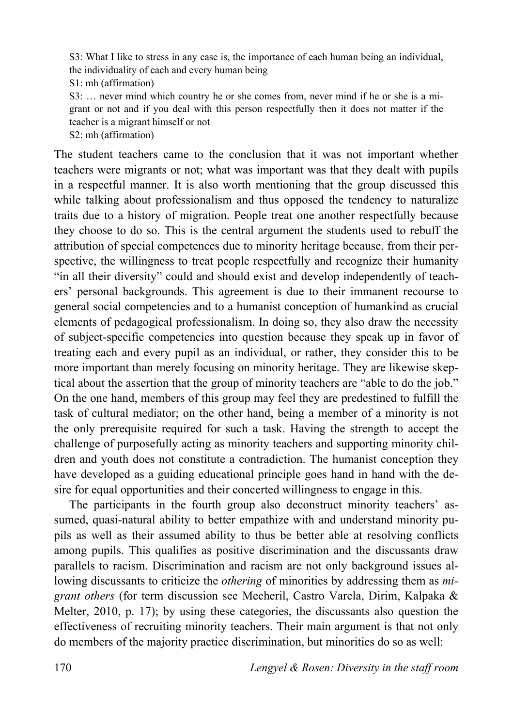S3: What I like to stress in any case is, the importance of each human being an individual, the individuality of each and every human being

S1: mh (affirmation)

S3: … never mind which country he or she comes from, never mind if he or she is a migrant or not and if you deal with this person respectfully then it does not matter if the teacher is a migrant himself or not

S2: mh (affirmation)

The student teachers came to the conclusion that it was not important whether teachers were migrants or not; what was important was that they dealt with pupils in a respectful manner. It is also worth mentioning that the group discussed this while talking about professionalism and thus opposed the tendency to naturalize traits due to a history of migration. People treat one another respectfully because they choose to do so. This is the central argument the students used to rebuff the attribution of special competences due to minority heritage because, from their perspective, the willingness to treat people respectfully and recognize their humanity "in all their diversity" could and should exist and develop independently of teachers' personal backgrounds. This agreement is due to their immanent recourse to general social competencies and to a humanist conception of humankind as crucial elements of pedagogical professionalism. In doing so, they also draw the necessity of subject-specific competencies into question because they speak up in favor of treating each and every pupil as an individual, or rather, they consider this to be more important than merely focusing on minority heritage. They are likewise skeptical about the assertion that the group of minority teachers are "able to do the job." On the one hand, members of this group may feel they are predestined to fulfill the task of cultural mediator; on the other hand, being a member of a minority is not the only prerequisite required for such a task. Having the strength to accept the challenge of purposefully acting as minority teachers and supporting minority children and youth does not constitute a contradiction. The humanist conception they have developed as a guiding educational principle goes hand in hand with the desire for equal opportunities and their concerted willingness to engage in this.

The participants in the fourth group also deconstruct minority teachers' assumed, quasi-natural ability to better empathize with and understand minority pupils as well as their assumed ability to thus be better able at resolving conflicts among pupils. This qualifies as positive discrimination and the discussants draw parallels to racism. Discrimination and racism are not only background issues allowing discussants to criticize the *othering* of minorities by addressing them as *migrant others* (for term discussion see Mecheril, Castro Varela, Dirim, Kalpaka & Melter, 2010, p. 17); by using these categories, the discussants also question the effectiveness of recruiting minority teachers. Their main argument is that not only do members of the majority practice discrimination, but minorities do so as well: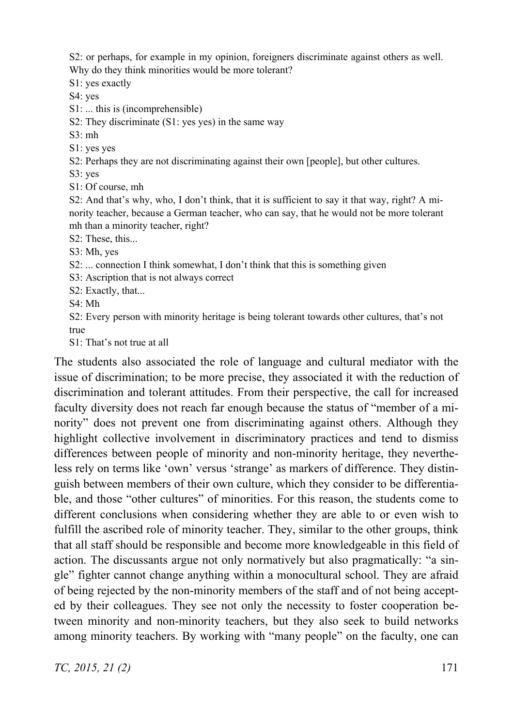S2: or perhaps, for example in my opinion, foreigners discriminate against others as well. Why do they think minorities would be more tolerant?

S1: yes exactly

S4: yes

S1: ... this is (incomprehensible)

S2: They discriminate (S1: yes yes) in the same way

S3: mh

S1: yes yes

S2: Perhaps they are not discriminating against their own [people], but other cultures.

S3: yes

S1: Of course, mh

S2: And that's why, who, I don't think, that it is sufficient to say it that way, right? A minority teacher, because a German teacher, who can say, that he would not be more tolerant mh than a minority teacher, right?

S<sub>2</sub>: These, this...

S3: Mh, yes

S2: ... connection I think somewhat, I don't think that this is something given

S3: Ascription that is not always correct

S2: Exactly, that...

S4: Mh

S2: Every person with minority heritage is being tolerant towards other cultures, that's not true

S1: That's not true at all

The students also associated the role of language and cultural mediator with the issue of discrimination; to be more precise, they associated it with the reduction of discrimination and tolerant attitudes. From their perspective, the call for increased faculty diversity does not reach far enough because the status of "member of a minority" does not prevent one from discriminating against others. Although they highlight collective involvement in discriminatory practices and tend to dismiss differences between people of minority and non-minority heritage, they nevertheless rely on terms like 'own' versus 'strange' as markers of difference. They distinguish between members of their own culture, which they consider to be differentiable, and those "other cultures" of minorities. For this reason, the students come to different conclusions when considering whether they are able to or even wish to fulfill the ascribed role of minority teacher. They, similar to the other groups, think that all staff should be responsible and become more knowledgeable in this field of action. The discussants argue not only normatively but also pragmatically: "a single" fighter cannot change anything within a monocultural school. They are afraid of being rejected by the non-minority members of the staff and of not being accepted by their colleagues. They see not only the necessity to foster cooperation between minority and non-minority teachers, but they also seek to build networks among minority teachers. By working with "many people" on the faculty, one can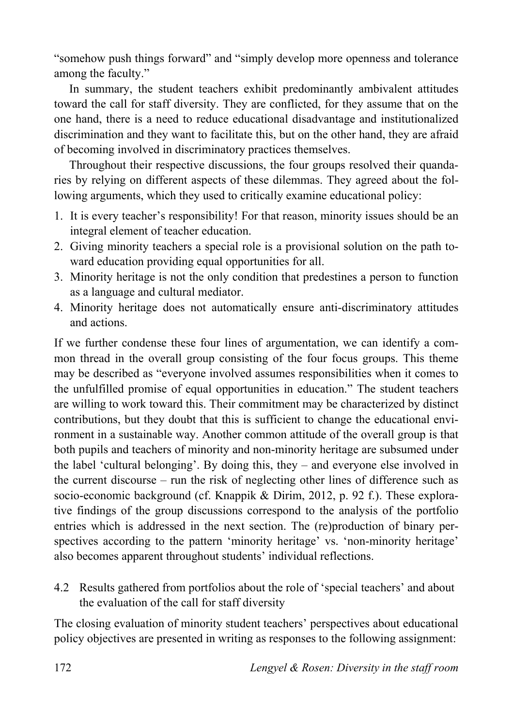"somehow push things forward" and "simply develop more openness and tolerance among the faculty."

In summary, the student teachers exhibit predominantly ambivalent attitudes toward the call for staff diversity. They are conflicted, for they assume that on the one hand, there is a need to reduce educational disadvantage and institutionalized discrimination and they want to facilitate this, but on the other hand, they are afraid of becoming involved in discriminatory practices themselves.

Throughout their respective discussions, the four groups resolved their quandaries by relying on different aspects of these dilemmas. They agreed about the following arguments, which they used to critically examine educational policy:

- 1. It is every teacher's responsibility! For that reason, minority issues should be an integral element of teacher education.
- 2. Giving minority teachers a special role is a provisional solution on the path toward education providing equal opportunities for all.
- 3. Minority heritage is not the only condition that predestines a person to function as a language and cultural mediator.
- 4. Minority heritage does not automatically ensure anti-discriminatory attitudes and actions.

If we further condense these four lines of argumentation, we can identify a common thread in the overall group consisting of the four focus groups. This theme may be described as "everyone involved assumes responsibilities when it comes to the unfulfilled promise of equal opportunities in education." The student teachers are willing to work toward this. Their commitment may be characterized by distinct contributions, but they doubt that this is sufficient to change the educational environment in a sustainable way. Another common attitude of the overall group is that both pupils and teachers of minority and non-minority heritage are subsumed under the label 'cultural belonging'. By doing this, they – and everyone else involved in the current discourse – run the risk of neglecting other lines of difference such as socio-economic background (cf. Knappik & Dirim, 2012, p. 92 f.). These explorative findings of the group discussions correspond to the analysis of the portfolio entries which is addressed in the next section. The (re)production of binary perspectives according to the pattern 'minority heritage' vs. 'non-minority heritage' also becomes apparent throughout students' individual reflections.

4.2 Results gathered from portfolios about the role of 'special teachers' and about the evaluation of the call for staff diversity

The closing evaluation of minority student teachers' perspectives about educational policy objectives are presented in writing as responses to the following assignment: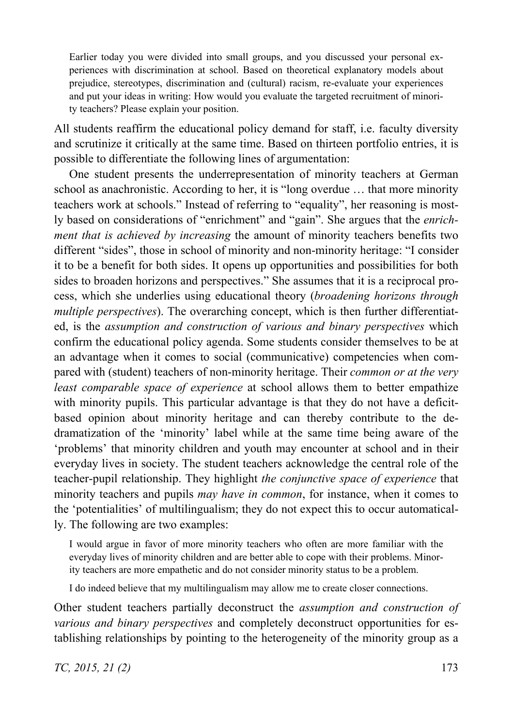Earlier today you were divided into small groups, and you discussed your personal experiences with discrimination at school. Based on theoretical explanatory models about prejudice, stereotypes, discrimination and (cultural) racism, re-evaluate your experiences and put your ideas in writing: How would you evaluate the targeted recruitment of minority teachers? Please explain your position.

All students reaffirm the educational policy demand for staff, i.e. faculty diversity and scrutinize it critically at the same time. Based on thirteen portfolio entries, it is possible to differentiate the following lines of argumentation:

One student presents the underrepresentation of minority teachers at German school as anachronistic. According to her, it is "long overdue … that more minority teachers work at schools." Instead of referring to "equality", her reasoning is mostly based on considerations of "enrichment" and "gain". She argues that the *enrichment that is achieved by increasing* the amount of minority teachers benefits two different "sides", those in school of minority and non-minority heritage: "I consider it to be a benefit for both sides. It opens up opportunities and possibilities for both sides to broaden horizons and perspectives." She assumes that it is a reciprocal process, which she underlies using educational theory (*broadening horizons through multiple perspectives*). The overarching concept, which is then further differentiated, is the *assumption and construction of various and binary perspectives* which confirm the educational policy agenda. Some students consider themselves to be at an advantage when it comes to social (communicative) competencies when compared with (student) teachers of non-minority heritage. Their *common or at the very least comparable space of experience* at school allows them to better empathize with minority pupils. This particular advantage is that they do not have a deficitbased opinion about minority heritage and can thereby contribute to the dedramatization of the 'minority' label while at the same time being aware of the 'problems' that minority children and youth may encounter at school and in their everyday lives in society. The student teachers acknowledge the central role of the teacher-pupil relationship. They highlight *the conjunctive space of experience* that minority teachers and pupils *may have in common*, for instance, when it comes to the 'potentialities' of multilingualism; they do not expect this to occur automatically. The following are two examples:

I would argue in favor of more minority teachers who often are more familiar with the everyday lives of minority children and are better able to cope with their problems. Minority teachers are more empathetic and do not consider minority status to be a problem.

I do indeed believe that my multilingualism may allow me to create closer connections.

Other student teachers partially deconstruct the *assumption and construction of various and binary perspectives* and completely deconstruct opportunities for establishing relationships by pointing to the heterogeneity of the minority group as a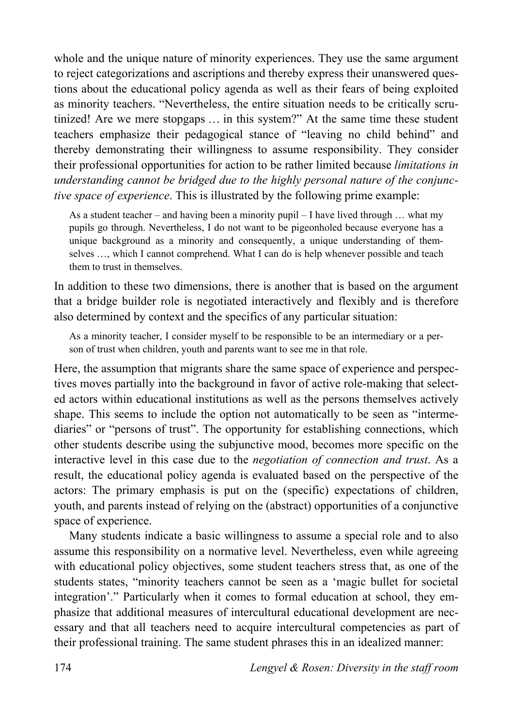whole and the unique nature of minority experiences. They use the same argument to reject categorizations and ascriptions and thereby express their unanswered questions about the educational policy agenda as well as their fears of being exploited as minority teachers. "Nevertheless, the entire situation needs to be critically scrutinized! Are we mere stopgaps … in this system?" At the same time these student teachers emphasize their pedagogical stance of "leaving no child behind" and thereby demonstrating their willingness to assume responsibility. They consider their professional opportunities for action to be rather limited because *limitations in understanding cannot be bridged due to the highly personal nature of the conjunctive space of experience*. This is illustrated by the following prime example:

As a student teacher – and having been a minority pupil – I have lived through … what my pupils go through. Nevertheless, I do not want to be pigeonholed because everyone has a unique background as a minority and consequently, a unique understanding of themselves …, which I cannot comprehend. What I can do is help whenever possible and teach them to trust in themselves.

In addition to these two dimensions, there is another that is based on the argument that a bridge builder role is negotiated interactively and flexibly and is therefore also determined by context and the specifics of any particular situation:

As a minority teacher, I consider myself to be responsible to be an intermediary or a person of trust when children, youth and parents want to see me in that role.

Here, the assumption that migrants share the same space of experience and perspectives moves partially into the background in favor of active role-making that selected actors within educational institutions as well as the persons themselves actively shape. This seems to include the option not automatically to be seen as "intermediaries" or "persons of trust". The opportunity for establishing connections, which other students describe using the subjunctive mood, becomes more specific on the interactive level in this case due to the *negotiation of connection and trust*. As a result, the educational policy agenda is evaluated based on the perspective of the actors: The primary emphasis is put on the (specific) expectations of children, youth, and parents instead of relying on the (abstract) opportunities of a conjunctive space of experience.

Many students indicate a basic willingness to assume a special role and to also assume this responsibility on a normative level. Nevertheless, even while agreeing with educational policy objectives, some student teachers stress that, as one of the students states, "minority teachers cannot be seen as a 'magic bullet for societal integration'." Particularly when it comes to formal education at school, they emphasize that additional measures of intercultural educational development are necessary and that all teachers need to acquire intercultural competencies as part of their professional training. The same student phrases this in an idealized manner: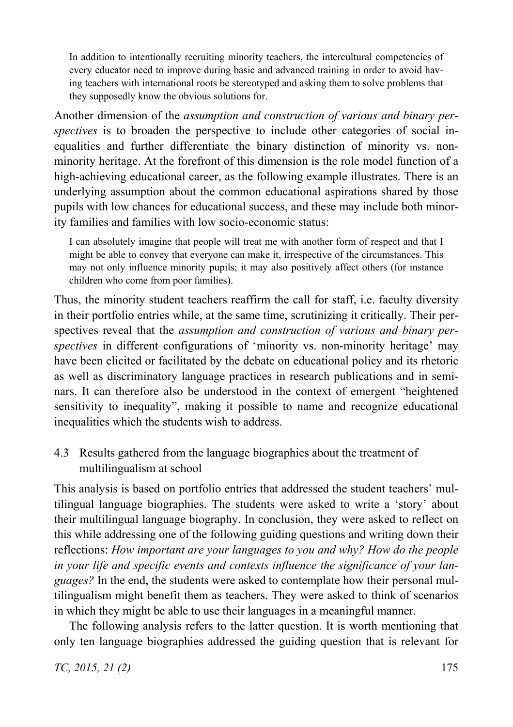In addition to intentionally recruiting minority teachers, the intercultural competencies of every educator need to improve during basic and advanced training in order to avoid having teachers with international roots be stereotyped and asking them to solve problems that they supposedly know the obvious solutions for.

Another dimension of the *assumption and construction of various and binary perspectives* is to broaden the perspective to include other categories of social inequalities and further differentiate the binary distinction of minority vs. nonminority heritage. At the forefront of this dimension is the role model function of a high-achieving educational career, as the following example illustrates. There is an underlying assumption about the common educational aspirations shared by those pupils with low chances for educational success, and these may include both minority families and families with low socio-economic status:

I can absolutely imagine that people will treat me with another form of respect and that I might be able to convey that everyone can make it, irrespective of the circumstances. This may not only influence minority pupils; it may also positively affect others (for instance children who come from poor families).

Thus, the minority student teachers reaffirm the call for staff, i.e. faculty diversity in their portfolio entries while, at the same time, scrutinizing it critically. Their perspectives reveal that the *assumption and construction of various and binary perspectives* in different configurations of 'minority vs. non-minority heritage' may have been elicited or facilitated by the debate on educational policy and its rhetoric as well as discriminatory language practices in research publications and in seminars. It can therefore also be understood in the context of emergent "heightened sensitivity to inequality", making it possible to name and recognize educational inequalities which the students wish to address.

4.3 Results gathered from the language biographies about the treatment of multilingualism at school

This analysis is based on portfolio entries that addressed the student teachers' multilingual language biographies. The students were asked to write a 'story' about their multilingual language biography. In conclusion, they were asked to reflect on this while addressing one of the following guiding questions and writing down their reflections: *How important are your languages to you and why? How do the people in your life and specific events and contexts influence the significance of your languages?* In the end, the students were asked to contemplate how their personal multilingualism might benefit them as teachers. They were asked to think of scenarios in which they might be able to use their languages in a meaningful manner.

The following analysis refers to the latter question. It is worth mentioning that only ten language biographies addressed the guiding question that is relevant for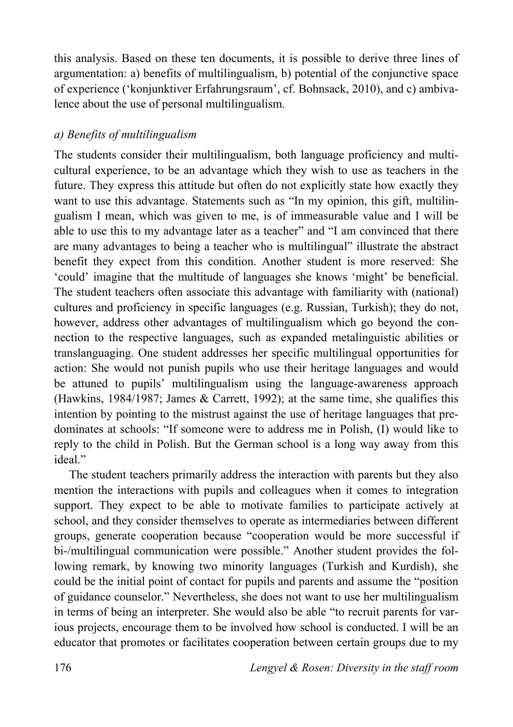this analysis. Based on these ten documents, it is possible to derive three lines of argumentation: a) benefits of multilingualism, b) potential of the conjunctive space of experience ('konjunktiver Erfahrungsraum', cf. Bohnsack, 2010), and c) ambivalence about the use of personal multilingualism.

# *a) Benefits of multilingualism*

The students consider their multilingualism, both language proficiency and multicultural experience, to be an advantage which they wish to use as teachers in the future. They express this attitude but often do not explicitly state how exactly they want to use this advantage. Statements such as "In my opinion, this gift, multilingualism I mean, which was given to me, is of immeasurable value and I will be able to use this to my advantage later as a teacher" and "I am convinced that there are many advantages to being a teacher who is multilingual" illustrate the abstract benefit they expect from this condition. Another student is more reserved: She 'could' imagine that the multitude of languages she knows 'might' be beneficial. The student teachers often associate this advantage with familiarity with (national) cultures and proficiency in specific languages (e.g. Russian, Turkish); they do not, however, address other advantages of multilingualism which go beyond the connection to the respective languages, such as expanded metalinguistic abilities or translanguaging. One student addresses her specific multilingual opportunities for action: She would not punish pupils who use their heritage languages and would be attuned to pupils' multilingualism using the language-awareness approach (Hawkins, 1984/1987; James & Carrett, 1992); at the same time, she qualifies this intention by pointing to the mistrust against the use of heritage languages that predominates at schools: "If someone were to address me in Polish, (I) would like to reply to the child in Polish. But the German school is a long way away from this ideal"

The student teachers primarily address the interaction with parents but they also mention the interactions with pupils and colleagues when it comes to integration support. They expect to be able to motivate families to participate actively at school, and they consider themselves to operate as intermediaries between different groups, generate cooperation because "cooperation would be more successful if bi-/multilingual communication were possible." Another student provides the following remark, by knowing two minority languages (Turkish and Kurdish), she could be the initial point of contact for pupils and parents and assume the "position of guidance counselor." Nevertheless, she does not want to use her multilingualism in terms of being an interpreter. She would also be able "to recruit parents for various projects, encourage them to be involved how school is conducted. I will be an educator that promotes or facilitates cooperation between certain groups due to my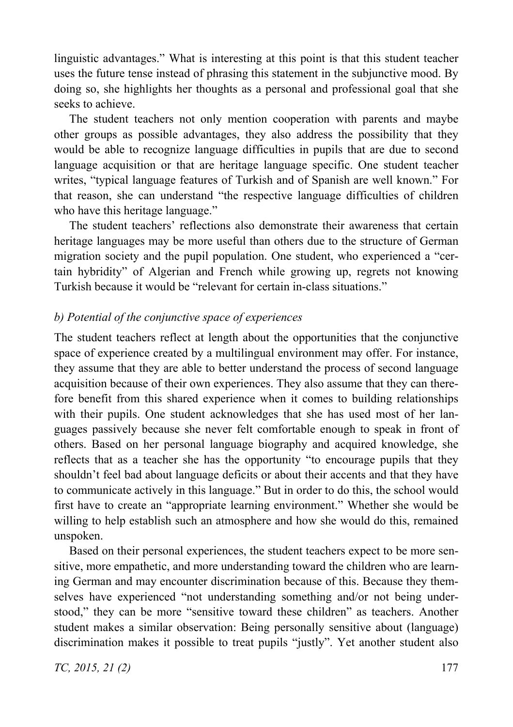linguistic advantages." What is interesting at this point is that this student teacher uses the future tense instead of phrasing this statement in the subjunctive mood. By doing so, she highlights her thoughts as a personal and professional goal that she seeks to achieve.

The student teachers not only mention cooperation with parents and maybe other groups as possible advantages, they also address the possibility that they would be able to recognize language difficulties in pupils that are due to second language acquisition or that are heritage language specific. One student teacher writes, "typical language features of Turkish and of Spanish are well known." For that reason, she can understand "the respective language difficulties of children who have this heritage language."

The student teachers' reflections also demonstrate their awareness that certain heritage languages may be more useful than others due to the structure of German migration society and the pupil population. One student, who experienced a "certain hybridity" of Algerian and French while growing up, regrets not knowing Turkish because it would be "relevant for certain in-class situations."

## *b) Potential of the conjunctive space of experiences*

The student teachers reflect at length about the opportunities that the conjunctive space of experience created by a multilingual environment may offer. For instance, they assume that they are able to better understand the process of second language acquisition because of their own experiences. They also assume that they can therefore benefit from this shared experience when it comes to building relationships with their pupils. One student acknowledges that she has used most of her languages passively because she never felt comfortable enough to speak in front of others. Based on her personal language biography and acquired knowledge, she reflects that as a teacher she has the opportunity "to encourage pupils that they shouldn't feel bad about language deficits or about their accents and that they have to communicate actively in this language." But in order to do this, the school would first have to create an "appropriate learning environment." Whether she would be willing to help establish such an atmosphere and how she would do this, remained unspoken.

Based on their personal experiences, the student teachers expect to be more sensitive, more empathetic, and more understanding toward the children who are learning German and may encounter discrimination because of this. Because they themselves have experienced "not understanding something and/or not being understood," they can be more "sensitive toward these children" as teachers. Another student makes a similar observation: Being personally sensitive about (language) discrimination makes it possible to treat pupils "justly". Yet another student also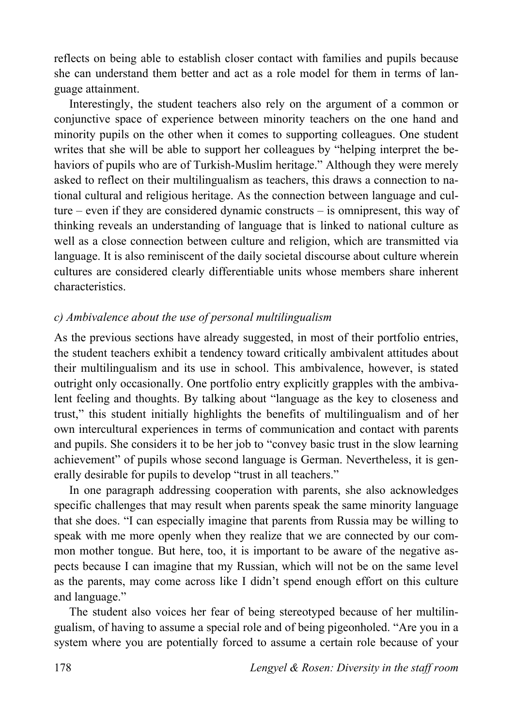reflects on being able to establish closer contact with families and pupils because she can understand them better and act as a role model for them in terms of language attainment.

Interestingly, the student teachers also rely on the argument of a common or conjunctive space of experience between minority teachers on the one hand and minority pupils on the other when it comes to supporting colleagues. One student writes that she will be able to support her colleagues by "helping interpret the behaviors of pupils who are of Turkish-Muslim heritage." Although they were merely asked to reflect on their multilingualism as teachers, this draws a connection to national cultural and religious heritage. As the connection between language and culture – even if they are considered dynamic constructs – is omnipresent, this way of thinking reveals an understanding of language that is linked to national culture as well as a close connection between culture and religion, which are transmitted via language. It is also reminiscent of the daily societal discourse about culture wherein cultures are considered clearly differentiable units whose members share inherent characteristics.

## *c) Ambivalence about the use of personal multilingualism*

As the previous sections have already suggested, in most of their portfolio entries, the student teachers exhibit a tendency toward critically ambivalent attitudes about their multilingualism and its use in school. This ambivalence, however, is stated outright only occasionally. One portfolio entry explicitly grapples with the ambivalent feeling and thoughts. By talking about "language as the key to closeness and trust," this student initially highlights the benefits of multilingualism and of her own intercultural experiences in terms of communication and contact with parents and pupils. She considers it to be her job to "convey basic trust in the slow learning achievement" of pupils whose second language is German. Nevertheless, it is generally desirable for pupils to develop "trust in all teachers."

In one paragraph addressing cooperation with parents, she also acknowledges specific challenges that may result when parents speak the same minority language that she does. "I can especially imagine that parents from Russia may be willing to speak with me more openly when they realize that we are connected by our common mother tongue. But here, too, it is important to be aware of the negative aspects because I can imagine that my Russian, which will not be on the same level as the parents, may come across like I didn't spend enough effort on this culture and language."

The student also voices her fear of being stereotyped because of her multilingualism, of having to assume a special role and of being pigeonholed. "Are you in a system where you are potentially forced to assume a certain role because of your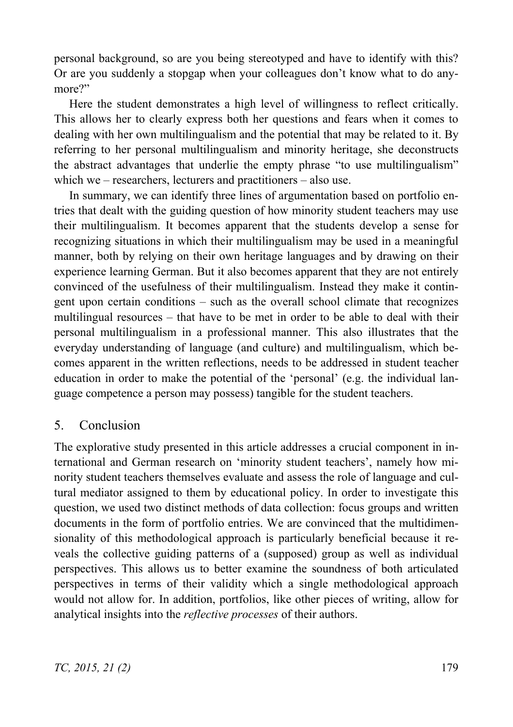personal background, so are you being stereotyped and have to identify with this? Or are you suddenly a stopgap when your colleagues don't know what to do anymore?"

Here the student demonstrates a high level of willingness to reflect critically. This allows her to clearly express both her questions and fears when it comes to dealing with her own multilingualism and the potential that may be related to it. By referring to her personal multilingualism and minority heritage, she deconstructs the abstract advantages that underlie the empty phrase "to use multilingualism" which we – researchers, lecturers and practitioners – also use.

In summary, we can identify three lines of argumentation based on portfolio entries that dealt with the guiding question of how minority student teachers may use their multilingualism. It becomes apparent that the students develop a sense for recognizing situations in which their multilingualism may be used in a meaningful manner, both by relying on their own heritage languages and by drawing on their experience learning German. But it also becomes apparent that they are not entirely convinced of the usefulness of their multilingualism. Instead they make it contingent upon certain conditions – such as the overall school climate that recognizes multilingual resources – that have to be met in order to be able to deal with their personal multilingualism in a professional manner. This also illustrates that the everyday understanding of language (and culture) and multilingualism, which becomes apparent in the written reflections, needs to be addressed in student teacher education in order to make the potential of the 'personal' (e.g. the individual language competence a person may possess) tangible for the student teachers.

# 5. Conclusion

The explorative study presented in this article addresses a crucial component in international and German research on 'minority student teachers', namely how minority student teachers themselves evaluate and assess the role of language and cultural mediator assigned to them by educational policy. In order to investigate this question, we used two distinct methods of data collection: focus groups and written documents in the form of portfolio entries. We are convinced that the multidimensionality of this methodological approach is particularly beneficial because it reveals the collective guiding patterns of a (supposed) group as well as individual perspectives. This allows us to better examine the soundness of both articulated perspectives in terms of their validity which a single methodological approach would not allow for. In addition, portfolios, like other pieces of writing, allow for analytical insights into the *reflective processes* of their authors.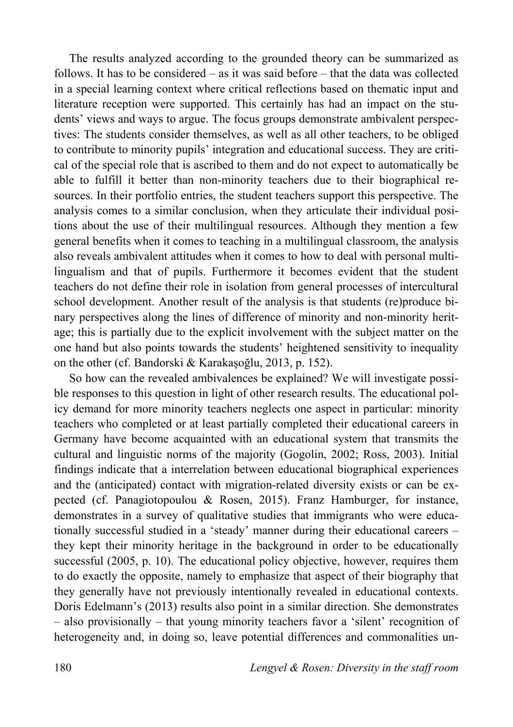The results analyzed according to the grounded theory can be summarized as follows. It has to be considered – as it was said before – that the data was collected in a special learning context where critical reflections based on thematic input and literature reception were supported. This certainly has had an impact on the students' views and ways to argue. The focus groups demonstrate ambivalent perspectives: The students consider themselves, as well as all other teachers, to be obliged to contribute to minority pupils' integration and educational success. They are critical of the special role that is ascribed to them and do not expect to automatically be able to fulfill it better than non-minority teachers due to their biographical resources. In their portfolio entries, the student teachers support this perspective. The analysis comes to a similar conclusion, when they articulate their individual positions about the use of their multilingual resources. Although they mention a few general benefits when it comes to teaching in a multilingual classroom, the analysis also reveals ambivalent attitudes when it comes to how to deal with personal multilingualism and that of pupils. Furthermore it becomes evident that the student teachers do not define their role in isolation from general processes of intercultural school development. Another result of the analysis is that students (re)produce binary perspectives along the lines of difference of minority and non-minority heritage; this is partially due to the explicit involvement with the subject matter on the one hand but also points towards the students' heightened sensitivity to inequality on the other (cf. Bandorski  $& Karakasoju, 2013, p. 152$ ).

So how can the revealed ambivalences be explained? We will investigate possible responses to this question in light of other research results. The educational policy demand for more minority teachers neglects one aspect in particular: minority teachers who completed or at least partially completed their educational careers in Germany have become acquainted with an educational system that transmits the cultural and linguistic norms of the majority (Gogolin, 2002; Ross, 2003). Initial findings indicate that a interrelation between educational biographical experiences and the (anticipated) contact with migration-related diversity exists or can be expected (cf. Panagiotopoulou & Rosen, 2015). Franz Hamburger, for instance, demonstrates in a survey of qualitative studies that immigrants who were educationally successful studied in a 'steady' manner during their educational careers – they kept their minority heritage in the background in order to be educationally successful (2005, p. 10). The educational policy objective, however, requires them to do exactly the opposite, namely to emphasize that aspect of their biography that they generally have not previously intentionally revealed in educational contexts. Doris Edelmann's (2013) results also point in a similar direction. She demonstrates – also provisionally – that young minority teachers favor a 'silent' recognition of heterogeneity and, in doing so, leave potential differences and commonalities un-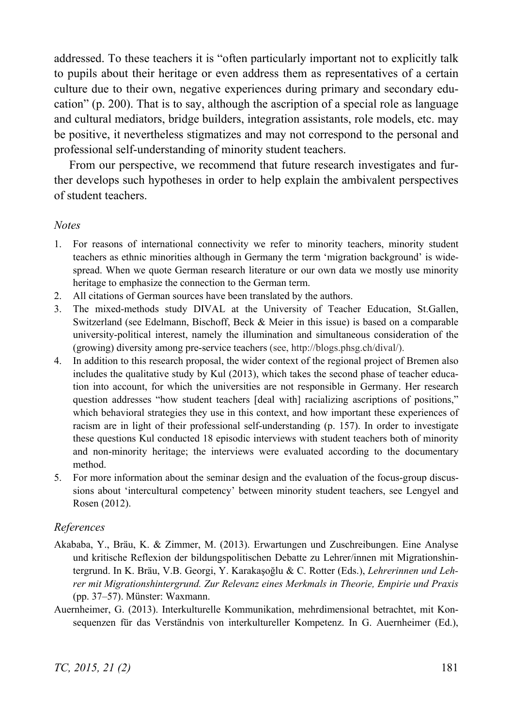addressed. To these teachers it is "often particularly important not to explicitly talk to pupils about their heritage or even address them as representatives of a certain culture due to their own, negative experiences during primary and secondary education" (p. 200). That is to say, although the ascription of a special role as language and cultural mediators, bridge builders, integration assistants, role models, etc. may be positive, it nevertheless stigmatizes and may not correspond to the personal and professional self-understanding of minority student teachers.

From our perspective, we recommend that future research investigates and further develops such hypotheses in order to help explain the ambivalent perspectives of student teachers.

## *Notes*

- 1. For reasons of international connectivity we refer to minority teachers, minority student teachers as ethnic minorities although in Germany the term 'migration background' is widespread. When we quote German research literature or our own data we mostly use minority heritage to emphasize the connection to the German term.
- 2. All citations of German sources have been translated by the authors.
- 3. The mixed-methods study DIVAL at the University of Teacher Education, St.Gallen, Switzerland (see Edelmann, Bischoff, Beck & Meier in this issue) is based on a comparable university-political interest, namely the illumination and simultaneous consideration of the (growing) diversity among pre-service teachers (see, http://blogs.phsg.ch/dival/).
- 4. In addition to this research proposal, the wider context of the regional project of Bremen also includes the qualitative study by Kul (2013), which takes the second phase of teacher education into account, for which the universities are not responsible in Germany. Her research question addresses "how student teachers [deal with] racializing ascriptions of positions," which behavioral strategies they use in this context, and how important these experiences of racism are in light of their professional self-understanding (p. 157). In order to investigate these questions Kul conducted 18 episodic interviews with student teachers both of minority and non-minority heritage; the interviews were evaluated according to the documentary method.
- 5. For more information about the seminar design and the evaluation of the focus-group discussions about 'intercultural competency' between minority student teachers, see Lengyel and Rosen (2012).

## *References*

- Akababa, Y., Bräu, K. & Zimmer, M. (2013). Erwartungen und Zuschreibungen. Eine Analyse und kritische Reflexion der bildungspolitischen Debatte zu Lehrer/innen mit Migrationshintergrund. In K. Bräu, V.B. Georgi, Y. Karakaşoğlu & C. Rotter (Eds.), *Lehrerinnen und Lehrer mit Migrationshintergrund. Zur Relevanz eines Merkmals in Theorie, Empirie und Praxis* (pp. 37–57). Münster: Waxmann.
- Auernheimer, G. (2013). Interkulturelle Kommunikation, mehrdimensional betrachtet, mit Konsequenzen für das Verständnis von interkultureller Kompetenz. In G. Auernheimer (Ed.),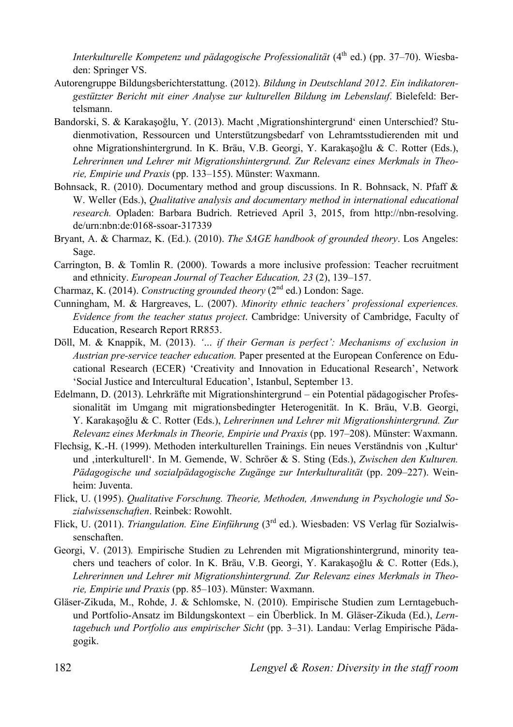*Interkulturelle Kompetenz und pädagogische Professionalität* (4<sup>th</sup> ed.) (pp. 37–70). Wiesbaden: Springer VS.

- Autorengruppe Bildungsberichterstattung. (2012). *Bildung in Deutschland 2012. Ein indikatorengestützter Bericht mit einer Analyse zur kulturellen Bildung im Lebenslauf*. Bielefeld: Bertelsmann.
- Bandorski, S. & Karakasoğlu, Y. (2013). Macht , Migrationshintergrund' einen Unterschied? Studienmotivation, Ressourcen und Unterstützungsbedarf von Lehramtsstudierenden mit und ohne Migrationshintergrund. In K. Bräu, V.B. Georgi, Y. Karakasoğlu & C. Rotter (Eds.), *Lehrerinnen und Lehrer mit Migrationshintergrund. Zur Relevanz eines Merkmals in Theorie, Empirie und Praxis* (pp. 133–155). Münster: Waxmann.
- Bohnsack, R. (2010). Documentary method and group discussions. In R. Bohnsack, N. Pfaff & W. Weller (Eds.), *Qualitative analysis and documentary method in international educational research.* Opladen: Barbara Budrich. Retrieved April 3, 2015, from http://nbn-resolving. de/urn:nbn:de:0168-ssoar-317339
- Bryant, A. & Charmaz, K. (Ed.). (2010). *The SAGE handbook of grounded theory*. Los Angeles: Sage.
- Carrington, B. & Tomlin R. (2000). Towards a more inclusive profession: Teacher recruitment and ethnicity. *European Journal of Teacher Education, 23* (2), 139–157.
- Charmaz, K. (2014). *Constructing grounded theory* (2nd ed.) London: Sage.
- Cunningham, M. & Hargreaves, L. (2007). *Minority ethnic teachers' professional experiences. Evidence from the teacher status project*. Cambridge: University of Cambridge, Faculty of Education, Research Report RR853.
- Döll, M. & Knappik, M. (2013). *ұ… if their German is perfect': Mechanisms of exclusion in Austrian pre-service teacher education.* Paper presented at the European Conference on Educational Research (ECER) 'Creativity and Innovation in Educational Research', Network 'Social Justice and Intercultural Education', Istanbul, September 13.
- Edelmann, D. (2013). Lehrkräfte mit Migrationshintergrund ein Potential pädagogischer Professionalität im Umgang mit migrationsbedingter Heterogenität. In K. Bräu, V.B. Georgi, Y. Karakaşoğlu & C. Rotter (Eds.), *Lehrerinnen und Lehrer mit Migrationshintergrund. Zur Relevanz eines Merkmals in Theorie, Empirie und Praxis* (pp. 197–208). Münster: Waxmann.
- Flechsig, K.-H. (1999). Methoden interkulturellen Trainings. Ein neues Verständnis von 'Kultur' und 'interkulturell'. In M. Gemende, W. Schröer & S. Sting (Eds.), *Zwischen den Kulturen. Pädagogische und sozialpädagogische Zugänge zur Interkulturalität* (pp. 209–227). Weinheim: Juventa.
- Flick, U. (1995). *Qualitative Forschung. Theorie, Methoden, Anwendung in Psychologie und Sozialwissenschaften*. Reinbek: Rowohlt.
- Flick, U. (2011). *Triangulation. Eine Einführung* (3rd ed.). Wiesbaden: VS Verlag für Sozialwissenschaften.
- Georgi, V. (2013)*.* Empirische Studien zu Lehrenden mit Migrationshintergrund, minority teachers und teachers of color. In K. Bräu, V.B. Georgi, Y. Karakaşoğlu & C. Rotter (Eds.), *Lehrerinnen und Lehrer mit Migrationshintergrund. Zur Relevanz eines Merkmals in Theorie, Empirie und Praxis* (pp. 85–103). Münster: Waxmann.
- Gläser-Zikuda, M., Rohde, J. & Schlomske, N. (2010). Empirische Studien zum Lerntagebuchund Portfolio-Ansatz im Bildungskontext – ein Überblick. In M. Gläser-Zikuda (Ed.), *Lerntagebuch und Portfolio aus empirischer Sicht* (pp. 3–31). Landau: Verlag Empirische Pädagogik.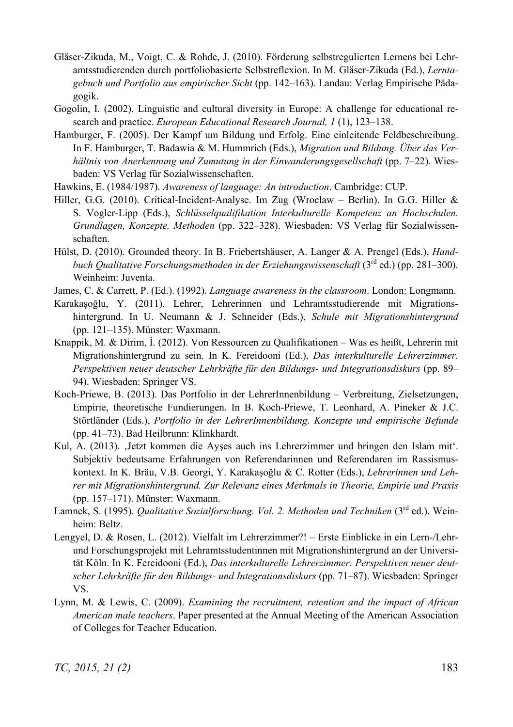- Gläser-Zikuda, M., Voigt, C. & Rohde, J. (2010). Förderung selbstregulierten Lernens bei Lehramtsstudierenden durch portfoliobasierte Selbstreflexion. In M. Gläser-Zikuda (Ed.), *Lerntagebuch und Portfolio aus empirischer Sicht* (pp. 142–163). Landau: Verlag Empirische Pädagogik.
- Gogolin, I. (2002). Linguistic and cultural diversity in Europe: A challenge for educational research and practice. *European Educational Research Journal, 1* (1), 123–138.
- Hamburger, F. (2005). Der Kampf um Bildung und Erfolg. Eine einleitende Feldbeschreibung. In F. Hamburger, T. Badawia & M. Hummrich (Eds.), *Migration und Bildung. Über das Verhältnis von Anerkennung und Zumutung in der Einwanderungsgesellschaft* (pp. 7–22). Wiesbaden: VS Verlag für Sozialwissenschaften.
- Hawkins, E. (1984/1987). *Awareness of language: An introduction*. Cambridge: CUP.
- Hiller, G.G. (2010). Critical-Incident-Analyse. Im Zug (Wroclaw Berlin). In G.G. Hiller & S. Vogler-Lipp (Eds.), *Schlüsselqualifikation Interkulturelle Kompetenz an Hochschulen. Grundlagen, Konzepte, Methoden* (pp. 322–328). Wiesbaden: VS Verlag für Sozialwissenschaften.
- Hülst, D. (2010). Grounded theory. In B. Friebertshäuser, A. Langer & A. Prengel (Eds.), *Handbuch Qualitative Forschungsmethoden in der Erziehungswissenschaft* (3<sup>rd</sup> ed.) (pp. 281–300). Weinheim: Juventa.
- James, C. & Carrett, P. (Ed.). (1992). *Language awareness in the classroom*. London: Longmann.
- Karakasoğlu, Y. (2011). Lehrer, Lehrerinnen und Lehramtsstudierende mit Migrationshintergrund. In U. Neumann & J. Schneider (Eds.), *Schule mit Migrationshintergrund* (pp. 121–135). Münster: Waxmann.
- Knappik, M. & Dirim, I. (2012). Von Ressourcen zu Qualifikationen Was es heißt, Lehrerin mit Migrationshintergrund zu sein. In K. Fereidooni (Ed.), *Das interkulturelle Lehrerzimmer. Perspektiven neuer deutscher Lehrkräfte für den Bildungs- und Integrationsdiskurs* (pp. 89– 94). Wiesbaden: Springer VS.
- Koch-Priewe, B. (2013). Das Portfolio in der LehrerInnenbildung Verbreitung, Zielsetzungen, Empirie, theoretische Fundierungen. In B. Koch-Priewe, T. Leonhard, A. Pineker & J.C. Störtländer (Eds.), *Portfolio in der LehrerInnenbildung. Konzepte und empirische Befunde* (pp. 41–73). Bad Heilbrunn: Klinkhardt.
- Kul, A. (2013). Jetzt kommen die Ayses auch ins Lehrerzimmer und bringen den Islam mit. Subjektiv bedeutsame Erfahrungen von Referendarinnen und Referendaren im Rassismuskontext. In K. Bräu, V.B. Georgi, Y. Karakaşoğlu & C. Rotter (Eds.), *Lehrerinnen und Lehrer mit Migrationshintergrund. Zur Relevanz eines Merkmals in Theorie, Empirie und Praxis* (pp. 157–171). Münster: Waxmann.
- Lamnek, S. (1995). *Qualitative Sozialforschung. Vol. 2. Methoden und Techniken* (3<sup>rd</sup> ed.). Weinheim: Beltz.
- Lengyel, D. & Rosen, L. (2012). Vielfalt im Lehrerzimmer?! Erste Einblicke in ein Lern-/Lehrund Forschungsprojekt mit Lehramtsstudentinnen mit Migrationshintergrund an der Universität Köln. In K. Fereidooni (Ed.), *Das interkulturelle Lehrerzimmer. Perspektiven neuer deutscher Lehrkräfte für den Bildungs- und Integrationsdiskurs* (pp. 71–87). Wiesbaden: Springer VS.
- Lynn, M. & Lewis, C. (2009). *Examining the recruitment, retention and the impact of African American male teachers*. Paper presented at the Annual Meeting of the American Association of Colleges for Teacher Education.